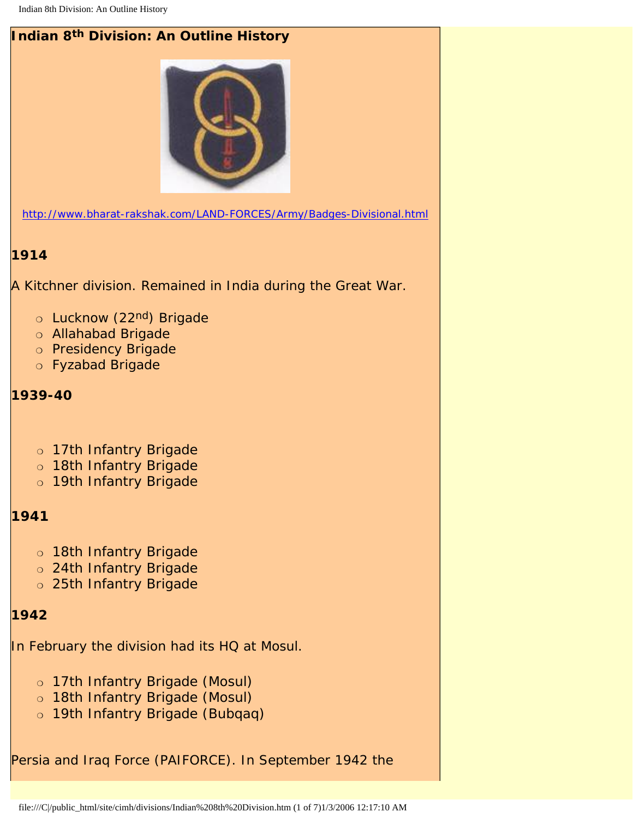

## **1914**

A Kitchner division. Remained in India during the Great War.

- o Lucknow (22nd) Brigade
- ❍ Allahabad Brigade
- ❍ Presidency Brigade
- ❍ Fyzabad Brigade

**1939-40**

- ❍ 17th Infantry Brigade
- o 18th Infantry Brigade
- o 19th Infantry Brigade

#### **1941**

- ❍ 18th Infantry Brigade
- ❍ 24th Infantry Brigade
- ❍ 25th Infantry Brigade

### **1942**

In February the division had its HQ at Mosul.

- ❍ 17th Infantry Brigade (Mosul)
- ❍ 18th Infantry Brigade (Mosul)
- o 19th Infantry Brigade (Bubqaq)

Persia and Iraq Force (PAIFORCE). In September 1942 the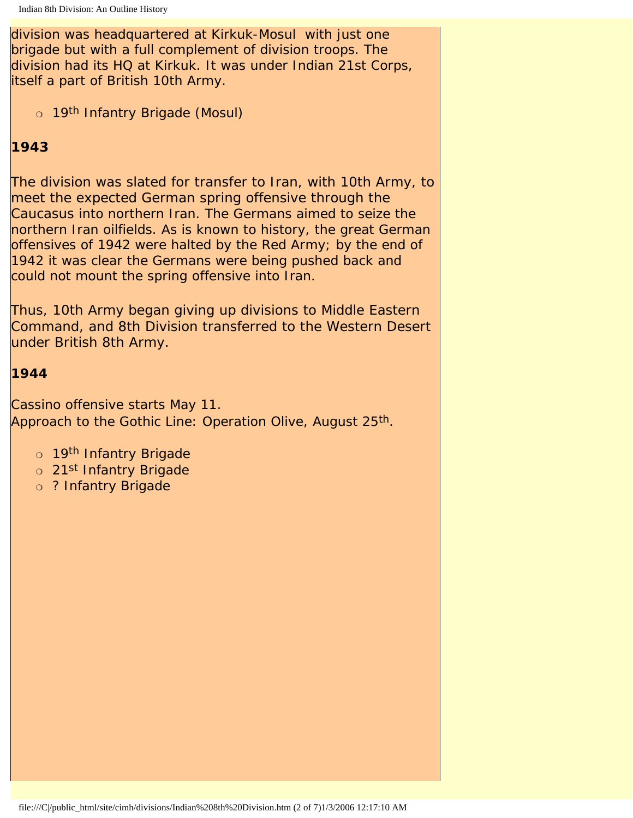division was headquartered at Kirkuk-Mosul with just one brigade but with a full complement of division troops. The division had its HQ at Kirkuk. It was under Indian 21st Corps, itself a part of British 10th Army.

o 19<sup>th</sup> Infantry Brigade (Mosul)

# **1943**

The division was slated for transfer to Iran, with 10th Army, to meet the expected German spring offensive through the Caucasus into northern Iran. The Germans aimed to seize the northern Iran oilfields. As is known to history, the great German offensives of 1942 were halted by the Red Army; by the end of 1942 it was clear the Germans were being pushed back and could not mount the spring offensive into Iran.

Thus, 10th Army began giving up divisions to Middle Eastern Command, and 8th Division transferred to the Western Desert under British 8th Army.

### **1944**

Cassino offensive starts May 11. Approach to the Gothic Line: Operation Olive, August 25<sup>th</sup>.

- o 19<sup>th</sup> Infantry Brigade
- o 21<sup>st</sup> Infantry Brigade
- o ? Infantry Brigade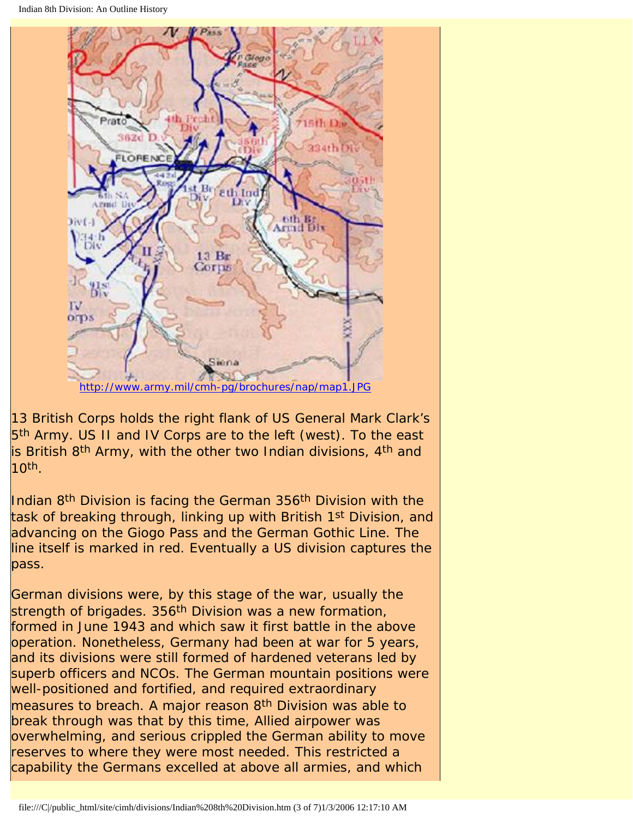

13 British Corps holds the right flank of US General Mark Clark's 5<sup>th</sup> Army. US II and IV Corps are to the left (west). To the east is British 8<sup>th</sup> Army, with the other two Indian divisions, 4<sup>th</sup> and  $10<sup>th</sup>$ .

Indian 8<sup>th</sup> Division is facing the German 356<sup>th</sup> Division with the task of breaking through, linking up with British 1<sup>st</sup> Division, and advancing on the Giogo Pass and the German Gothic Line. The line itself is marked in red. Eventually a US division captures the pass.

German divisions were, by this stage of the war, usually the strength of brigades. 356<sup>th</sup> Division was a new formation, formed in June 1943 and which saw it first battle in the above operation. Nonetheless, Germany had been at war for 5 years, and its divisions were still formed of hardened veterans led by superb officers and NCOs. The German mountain positions were well-positioned and fortified, and required extraordinary measures to breach. A major reason 8<sup>th</sup> Division was able to break through was that by this time, Allied airpower was overwhelming, and serious crippled the German ability to move reserves to where they were most needed. This restricted a capability the Germans excelled at above all armies, and which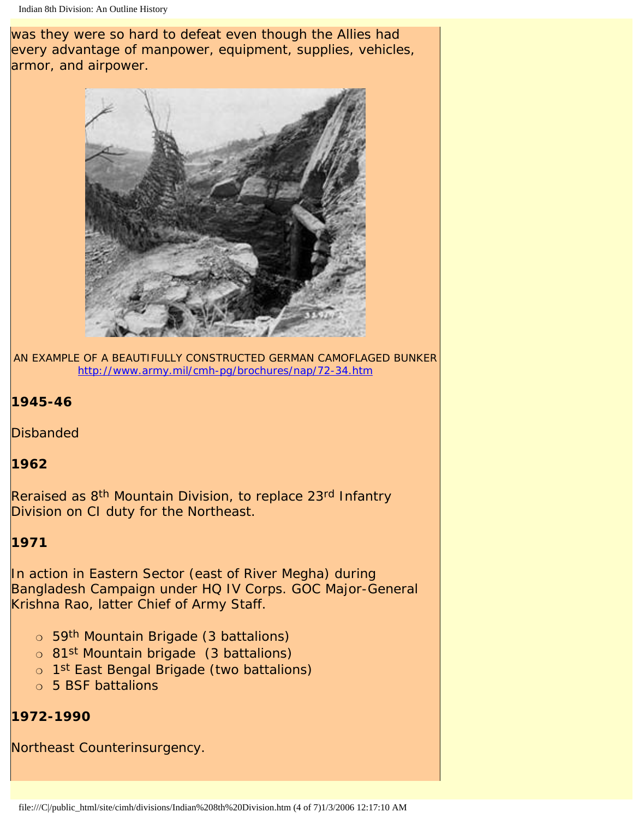was they were so hard to defeat even though the Allies had every advantage of manpower, equipment, supplies, vehicles, armor, and airpower.



AN EXAMPLE OF A BEAUTIFULLY CONSTRUCTED GERMAN CAMOFLAGED BUNKER <http://www.army.mil/cmh-pg/brochures/nap/72-34.htm>

### **1945-46**

**Disbanded** 

#### **1962**

Reraised as 8<sup>th</sup> Mountain Division, to replace 23<sup>rd</sup> Infantry Division on CI duty for the Northeast.

#### **1971**

In action in Eastern Sector (east of River Megha) during Bangladesh Campaign under HQ IV Corps. GOC Major-General Krishna Rao, latter Chief of Army Staff.

- o 59<sup>th</sup> Mountain Brigade (3 battalions)
- ❍ 81st Mountain brigade (3 battalions)
- o 1<sup>st</sup> East Bengal Brigade (two battalions)
- ❍ 5 BSF battalions

#### **1972-1990**

Northeast Counterinsurgency.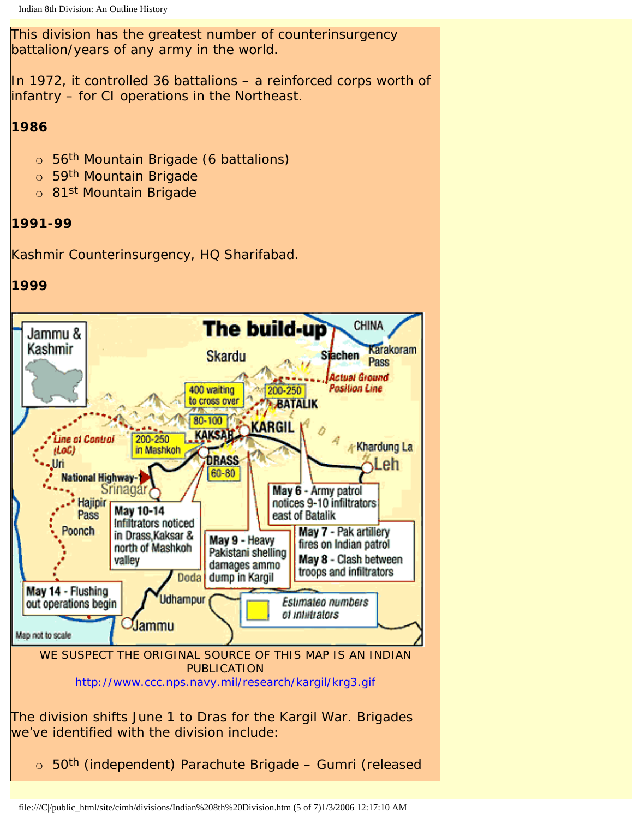This division has the greatest number of counterinsurgency battalion/years of any army in the world.

In 1972, it controlled 36 battalions  $-$  a reinforced corps worth of infantry – for CI operations in the Northeast.

### **1986**

- o 56<sup>th</sup> Mountain Brigade (6 battalions)
- o 59<sup>th</sup> Mountain Brigade
- o 81<sup>st</sup> Mountain Brigade

# **1991-99**

Kashmir Counterinsurgency, HQ Sharifabad.

## **1999**

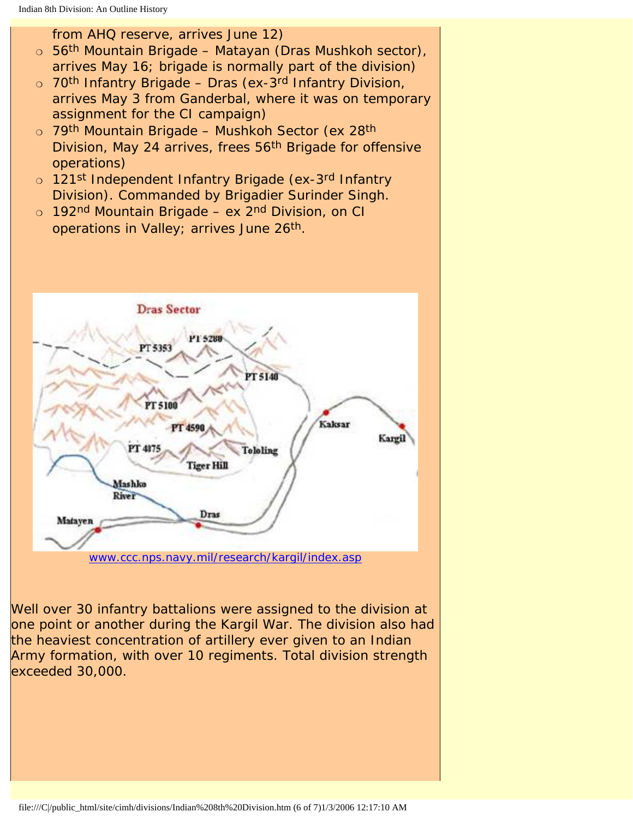from AHQ reserve, arrives June 12)

- o 56<sup>th</sup> Mountain Brigade Matayan (Dras Mushkoh sector), arrives May 16; brigade is normally part of the division)
- o 70<sup>th</sup> Infantry Brigade Dras (ex-3<sup>rd</sup> Infantry Division, arrives May 3 from Ganderbal, where it was on temporary assignment for the CI campaign)
- o 79<sup>th</sup> Mountain Brigade Mushkoh Sector (ex 28<sup>th</sup> Division, May 24 arrives, frees 56th Brigade for offensive operations)
- o 121st Independent Infantry Brigade (ex-3rd Infantry Division). Commanded by Brigadier Surinder Singh.
- o 192nd Mountain Brigade ex 2nd Division, on CI operations in Valley; arrives June 26th.



Well over 30 infantry battalions were assigned to the division at one point or another during the Kargil War. The division also had the heaviest concentration of artillery ever given to an Indian Army formation, with over 10 regiments. Total division strength exceeded 30,000.